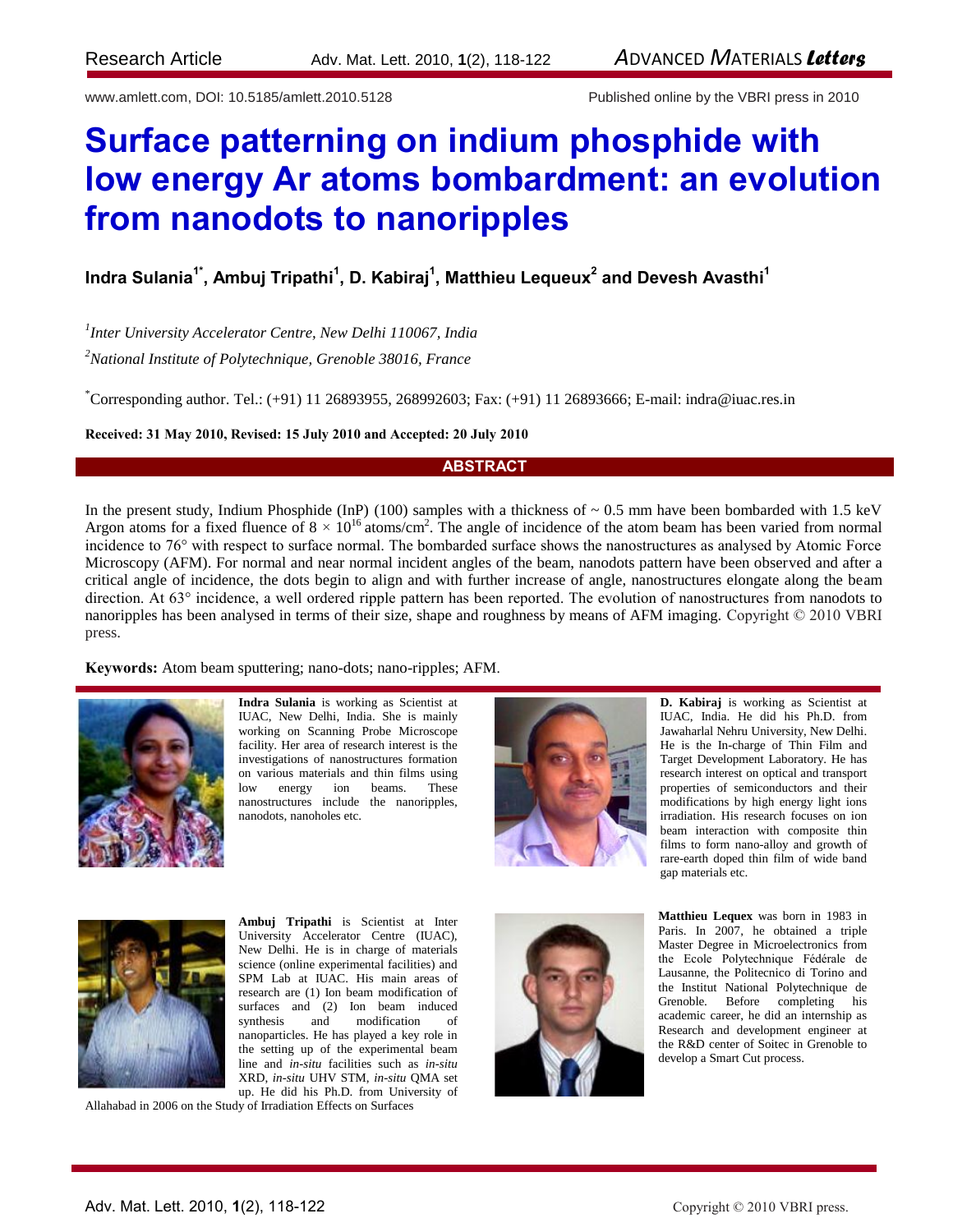www.amlett.com, DOI: 10.5185/amlett.2010.5128 Published online by the VBRI press in 2010

# **Surface patterning on indium phosphide with low energy Ar atoms bombardment: an evolution from nanodots to nanoripples**

# **Indra Sulania1\*, Ambuj Tripathi<sup>1</sup> , D. Kabiraj<sup>1</sup> , Matthieu Lequeux<sup>2</sup> and Devesh Avasthi<sup>1</sup>**

*1 Inter University Accelerator Centre, New Delhi 110067, India*

*<sup>2</sup>National Institute of Polytechnique, Grenoble 38016, France*

\*Corresponding author. Tel.: (+91) 11 26893955, 268992603; Fax: (+91) 11 26893666; E-mail: indra@iuac.res.in

#### **Received: 31 May 2010, Revised: 15 July 2010 and Accepted: 20 July 2010**

### **ABSTRACT**

In the present study, Indium Phosphide (InP) (100) samples with a thickness of  $\sim 0.5$  mm have been bombarded with 1.5 keV Argon atoms for a fixed fluence of  $8 \times 10^{16}$  atoms/cm<sup>2</sup>. The angle of incidence of the atom beam has been varied from normal incidence to 76° with respect to surface normal. The bombarded surface shows the nanostructures as analysed by Atomic Force Microscopy (AFM). For normal and near normal incident angles of the beam, nanodots pattern have been observed and after a critical angle of incidence, the dots begin to align and with further increase of angle, nanostructures elongate along the beam direction. At 63° incidence, a well ordered ripple pattern has been reported. The evolution of nanostructures from nanodots to nanoripples has been analysed in terms of their size, shape and roughness by means of AFM imaging. Copyright © 2010 VBRI press.

**Keywords:** Atom beam sputtering; nano-dots; nano-ripples; AFM.



**Indra Sulania** is working as Scientist at IUAC, New Delhi, India. She is mainly working on Scanning Probe Microscope facility. Her area of research interest is the investigations of nanostructures formation on various materials and thin films using low energy ion beams. These nanostructures include the nanoripples, nanodots, nanoholes etc.





**Ambuj Tripathi** is Scientist at Inter University Accelerator Centre (IUAC), New Delhi. He is in charge of materials science (online experimental facilities) and SPM Lab at IUAC. His main areas of research are (1) Ion beam modification of surfaces and (2) Ion beam induced synthesis and modification of nanoparticles. He has played a key role in the setting up of the experimental beam line and *in-situ* facilities such as *in-situ*  XRD, *in-situ* UHV STM, *in-situ* QMA set up. He did his Ph.D. from University of

Allahabad in 2006 on the Study of Irradiation Effects on Surfaces



**D. Kabiraj** is working as Scientist at IUAC, India. He did his Ph.D. from Jawaharlal Nehru University, New Delhi. He is the In-charge of Thin Film and Target Development Laboratory. He has research interest on optical and transport properties of semiconductors and their modifications by high energy light ions irradiation. His research focuses on ion beam interaction with composite thin films to form nano-alloy and growth of rare-earth doped thin film of wide band gap materials etc.

**Matthieu Lequex** was born in 1983 in Paris. In 2007, he obtained a triple Master Degree in Microelectronics from the Ecole Polytechnique Fédérale de Lausanne, the Politecnico di Torino and the Institut National Polytechnique de Grenoble. Before completing his academic career, he did an internship as Research and development engineer at the R&D center of Soitec in Grenoble to develop a Smart Cut process.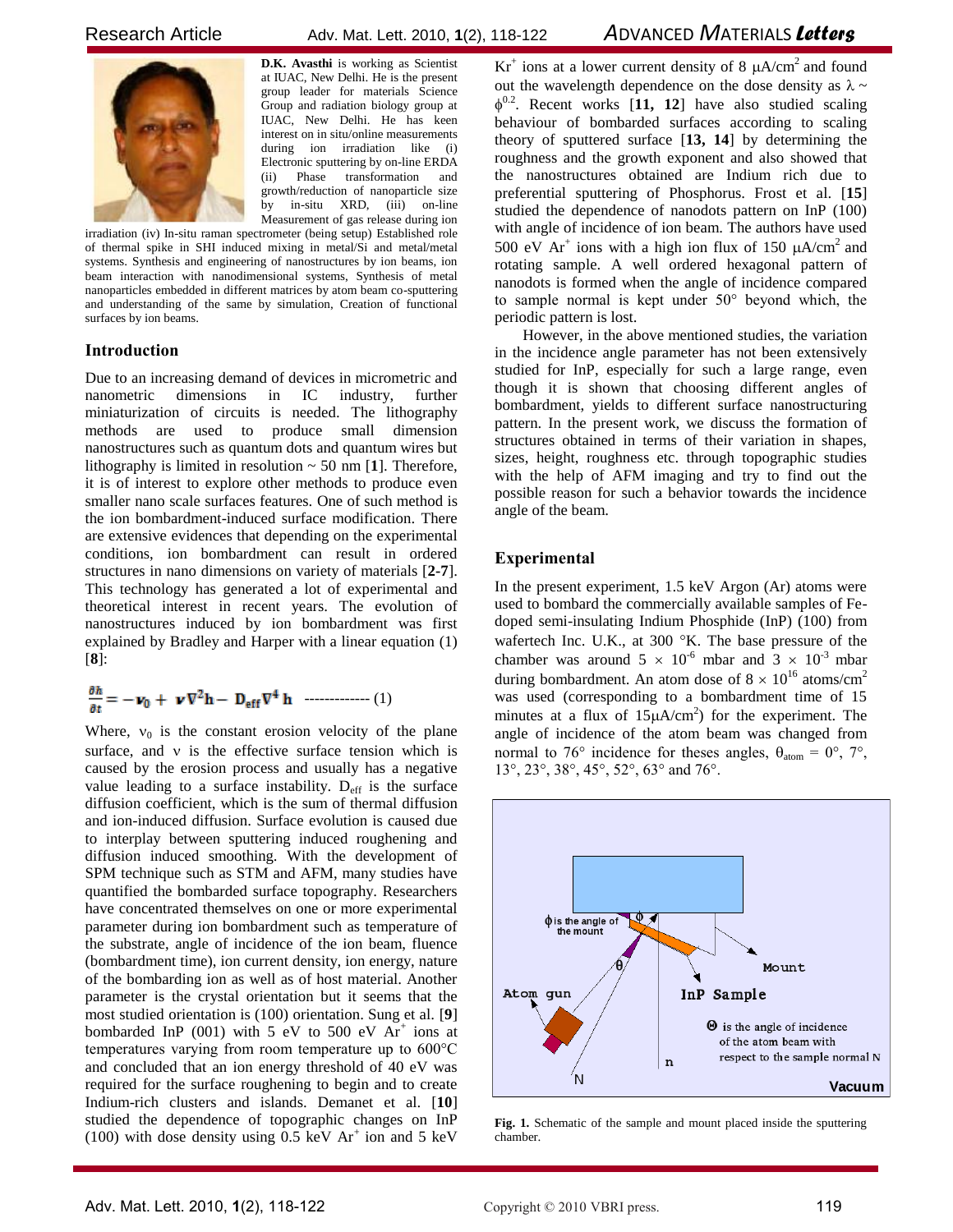

**D.K. Avasthi** is working as Scientist at IUAC, New Delhi. He is the present group leader for materials Science Group and radiation biology group at IUAC, New Delhi. He has keen interest on in situ/online measurements during ion irradiation like (i) Electronic sputtering by on-line ERDA (ii) Phase transformation and growth/reduction of nanoparticle size by in-situ XRD, (iii) on-line Measurement of gas release during ion

irradiation (iv) In-situ raman spectrometer (being setup) Established role of thermal spike in SHI induced mixing in metal/Si and metal/metal systems. Synthesis and engineering of nanostructures by ion beams, ion beam interaction with nanodimensional systems, Synthesis of metal nanoparticles embedded in different matrices by atom beam co-sputtering and understanding of the same by simulation, Creation of functional surfaces by ion beams.

#### **Introduction**

Due to an increasing demand of devices in micrometric and nanometric dimensions in IC industry, further miniaturization of circuits is needed. The lithography methods are used to produce small dimension nanostructures such as quantum dots and quantum wires but lithography is limited in resolution ~ 50 nm [**1**]. Therefore, it is of interest to explore other methods to produce even smaller nano scale surfaces features. One of such method is the ion bombardment-induced surface modification. There are extensive evidences that depending on the experimental conditions, ion bombardment can result in ordered structures in nano dimensions on variety of materials [**2-7**]. This technology has generated a lot of experimental and theoretical interest in recent years. The evolution of nanostructures induced by ion bombardment was first explained by Bradley and Harper with a linear equation (1) [**8**]:

$$
\frac{\partial h}{\partial t} = -\boldsymbol{\nu}_0 + \boldsymbol{\nu} \nabla^2 \mathbf{h} - \mathbf{D}_{eff} \nabla^4 \mathbf{h} \quad \text{............} \tag{1}
$$

Where,  $v_0$  is the constant erosion velocity of the plane surface, and  $v$  is the effective surface tension which is caused by the erosion process and usually has a negative value leading to a surface instability.  $D_{\text{eff}}$  is the surface diffusion coefficient, which is the sum of thermal diffusion and ion-induced diffusion. Surface evolution is caused due to interplay between sputtering induced roughening and diffusion induced smoothing. With the development of SPM technique such as STM and AFM, many studies have quantified the bombarded surface topography. Researchers have concentrated themselves on one or more experimental parameter during ion bombardment such as temperature of the substrate, angle of incidence of the ion beam, fluence (bombardment time), ion current density, ion energy, nature of the bombarding ion as well as of host material. Another parameter is the crystal orientation but it seems that the most studied orientation is (100) orientation. Sung et al. [**9**] bombarded InP  $(001)$  with 5 eV to 500 eV  $Ar^+$  ions at temperatures varying from room temperature up to 600°C and concluded that an ion energy threshold of 40 eV was required for the surface roughening to begin and to create Indium-rich clusters and islands. Demanet et al. [**10**] studied the dependence of topographic changes on InP (100) with dose density using  $\overline{0.5}$  keV Ar<sup>+</sup> ion and 5 keV

 $Kr^+$  ions at a lower current density of 8  $\mu A/cm^2$  and found out the wavelength dependence on the dose density as  $\lambda \sim$  $\phi^{0.2}$ . Recent works [11, 12] have also studied scaling behaviour of bombarded surfaces according to scaling theory of sputtered surface [**13, 14**] by determining the roughness and the growth exponent and also showed that the nanostructures obtained are Indium rich due to preferential sputtering of Phosphorus. Frost et al. [**15**] studied the dependence of nanodots pattern on InP (100) with angle of incidence of ion beam. The authors have used 500 eV Ar<sup>+</sup> ions with a high ion flux of 150  $\mu$ A/cm<sup>2</sup> and rotating sample. A well ordered hexagonal pattern of nanodots is formed when the angle of incidence compared to sample normal is kept under 50° beyond which, the periodic pattern is lost.

However, in the above mentioned studies, the variation in the incidence angle parameter has not been extensively studied for InP, especially for such a large range, even though it is shown that choosing different angles of bombardment, yields to different surface nanostructuring pattern. In the present work, we discuss the formation of structures obtained in terms of their variation in shapes, sizes, height, roughness etc. through topographic studies with the help of AFM imaging and try to find out the possible reason for such a behavior towards the incidence angle of the beam.

#### **Experimental**

In the present experiment, 1.5 keV Argon (Ar) atoms were used to bombard the commercially available samples of Fedoped semi-insulating Indium Phosphide (InP) (100) from wafertech Inc. U.K., at 300 $\,^{\circ}$ K. The base pressure of the chamber was around  $5 \times 10^{-6}$  mbar and  $3 \times 10^{-3}$  mbar during bombardment. An atom dose of  $8 \times 10^{16}$  atoms/cm<sup>2</sup> was used (corresponding to a bombardment time of 15 minutes at a flux of  $15\mu A/cm^2$ ) for the experiment. The angle of incidence of the atom beam was changed from normal to 76° incidence for theses angles,  $\theta_{atom} = 0^{\circ}$ , 7°, 13°, 23°, 38°, 45°, 52°, 63° and 76°.



**Fig. 1.** Schematic of the sample and mount placed inside the sputtering chamber.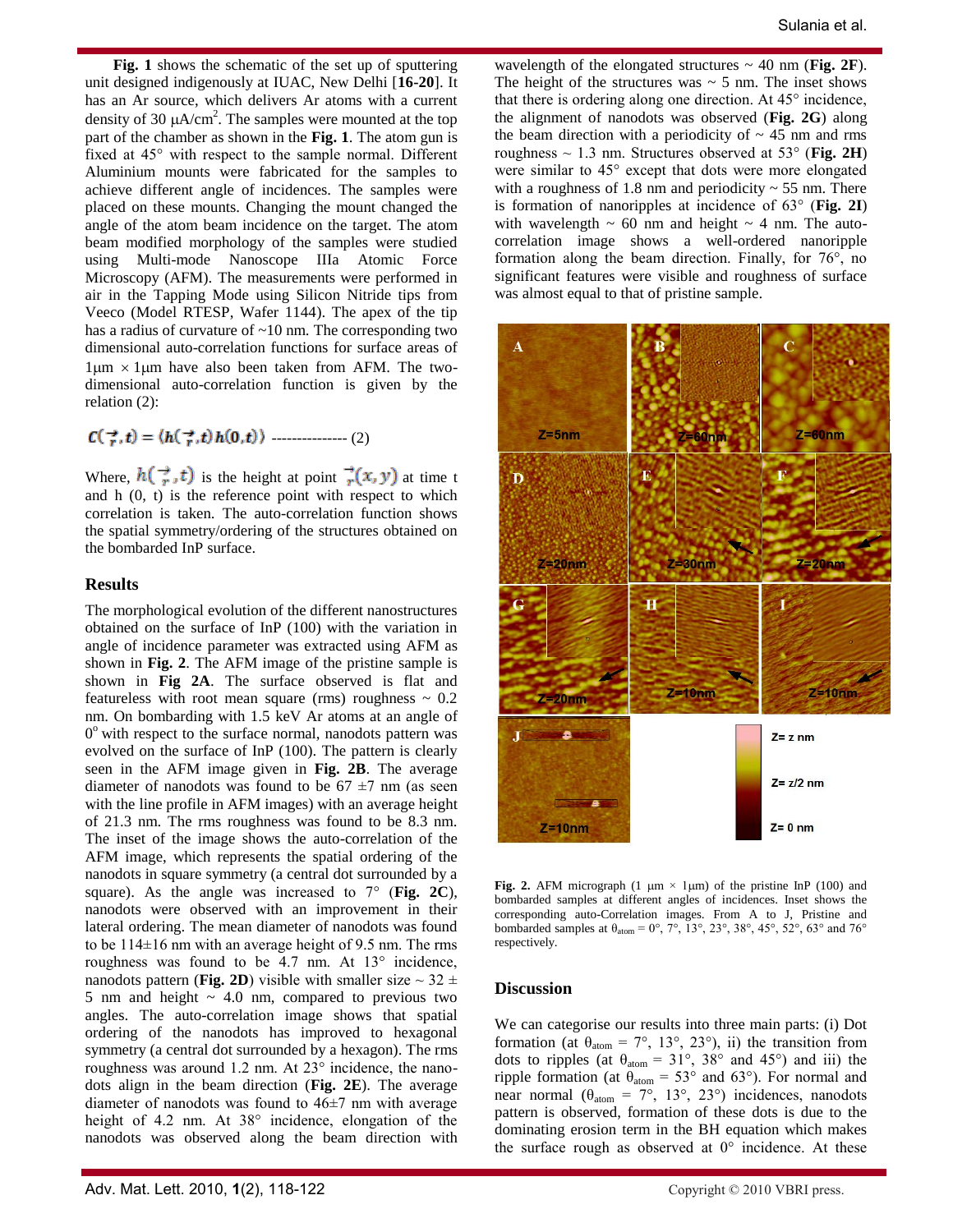**Fig. 1** shows the schematic of the set up of sputtering unit designed indigenously at IUAC, New Delhi [**16-20**]. It has an Ar source, which delivers Ar atoms with a current density of 30  $\mu A/cm^2$ . The samples were mounted at the top part of the chamber as shown in the **Fig. 1**. The atom gun is fixed at 45° with respect to the sample normal. Different Aluminium mounts were fabricated for the samples to achieve different angle of incidences. The samples were placed on these mounts. Changing the mount changed the angle of the atom beam incidence on the target. The atom beam modified morphology of the samples were studied using Multi-mode Nanoscope IIIa Atomic Force Microscopy (AFM). The measurements were performed in air in the Tapping Mode using Silicon Nitride tips from Veeco (Model RTESP, Wafer 1144). The apex of the tip has a radius of curvature of ~10 nm. The corresponding two dimensional auto-correlation functions for surface areas of  $1 \mu m \times 1 \mu m$  have also been taken from AFM. The twodimensional auto-correlation function is given by the relation (2):

$$
\mathcal{C}(\vec{\tau},t) = \langle h(\vec{\tau},t)h(0,t) \rangle \quad \text{[1]}(2)
$$

Where,  $h(\vec{r},t)$  is the height at point  $\vec{r}(x, y)$  at time t and h (0, t) is the reference point with respect to which correlation is taken. The auto-correlation function shows the spatial symmetry/ordering of the structures obtained on the bombarded InP surface.

#### **Results**

The morphological evolution of the different nanostructures obtained on the surface of InP (100) with the variation in angle of incidence parameter was extracted using AFM as shown in **Fig. 2**. The AFM image of the pristine sample is shown in **Fig 2A**. The surface observed is flat and featureless with root mean square (rms) roughness  $\sim 0.2$ nm. On bombarding with 1.5 keV Ar atoms at an angle of 0<sup>°</sup> with respect to the surface normal, nanodots pattern was evolved on the surface of InP (100). The pattern is clearly seen in the AFM image given in **Fig. 2B**. The average diameter of nanodots was found to be  $67 \pm 7$  nm (as seen with the line profile in AFM images) with an average height of 21.3 nm. The rms roughness was found to be 8.3 nm. The inset of the image shows the auto-correlation of the AFM image, which represents the spatial ordering of the nanodots in square symmetry (a central dot surrounded by a square). As the angle was increased to 7° (**Fig. 2C**), nanodots were observed with an improvement in their lateral ordering. The mean diameter of nanodots was found to be 114±16 nm with an average height of 9.5 nm. The rms roughness was found to be 4.7 nm. At 13° incidence, nanodots pattern (**Fig. 2D**) visible with smaller size  $\sim$  32  $\pm$ 5 nm and height  $\sim$  4.0 nm, compared to previous two angles. The auto-correlation image shows that spatial ordering of the nanodots has improved to hexagonal symmetry (a central dot surrounded by a hexagon). The rms roughness was around 1.2 nm. At 23° incidence, the nanodots align in the beam direction (**Fig. 2E**). The average diameter of nanodots was found to 46±7 nm with average height of 4.2 nm. At 38° incidence, elongation of the nanodots was observed along the beam direction with

wavelength of the elongated structures  $\sim$  40 nm (**Fig. 2F**). The height of the structures was  $\sim$  5 nm. The inset shows that there is ordering along one direction. At 45° incidence, the alignment of nanodots was observed (**Fig. 2G**) along the beam direction with a periodicity of  $\sim$  45 nm and rms roughness ~ 1.3 nm. Structures observed at 53° (**Fig. 2H**) were similar to 45° except that dots were more elongated with a roughness of 1.8 nm and periodicity  $\sim$  55 nm. There is formation of nanoripples at incidence of 63° (**Fig. 2I**) with wavelength  $\sim 60$  nm and height  $\sim 4$  nm. The autocorrelation image shows a well-ordered nanoripple formation along the beam direction. Finally, for 76°, no significant features were visible and roughness of surface was almost equal to that of pristine sample.



**Fig. 2.** AFM micrograph  $(1 \mu m \times 1 \mu m)$  of the pristine InP  $(100)$  and bombarded samples at different angles of incidences. Inset shows the corresponding auto-Correlation images. From A to J, Pristine and bombarded samples at  $\theta_{\text{atom}} = 0^{\circ}$ ,  $7^{\circ}$ ,  $13^{\circ}$ ,  $23^{\circ}$ ,  $38^{\circ}$ ,  $45^{\circ}$ ,  $52^{\circ}$ ,  $63^{\circ}$  and  $76^{\circ}$ respectively.

## **Discussion**

We can categorise our results into three main parts: (i) Dot formation (at  $\theta_{\text{atom}} = 7^{\circ}$ , 13°, 23°), ii) the transition from dots to ripples (at  $\theta_{\text{atom}} = 31^{\circ}$ , 38° and 45°) and iii) the ripple formation (at  $\theta_{\text{atom}} = 53^{\circ}$  and 63°). For normal and near normal ( $\theta_{\text{atom}} = 7^{\circ}$ , 13°, 23°) incidences, nanodots pattern is observed, formation of these dots is due to the dominating erosion term in the BH equation which makes the surface rough as observed at  $0^{\circ}$  incidence. At these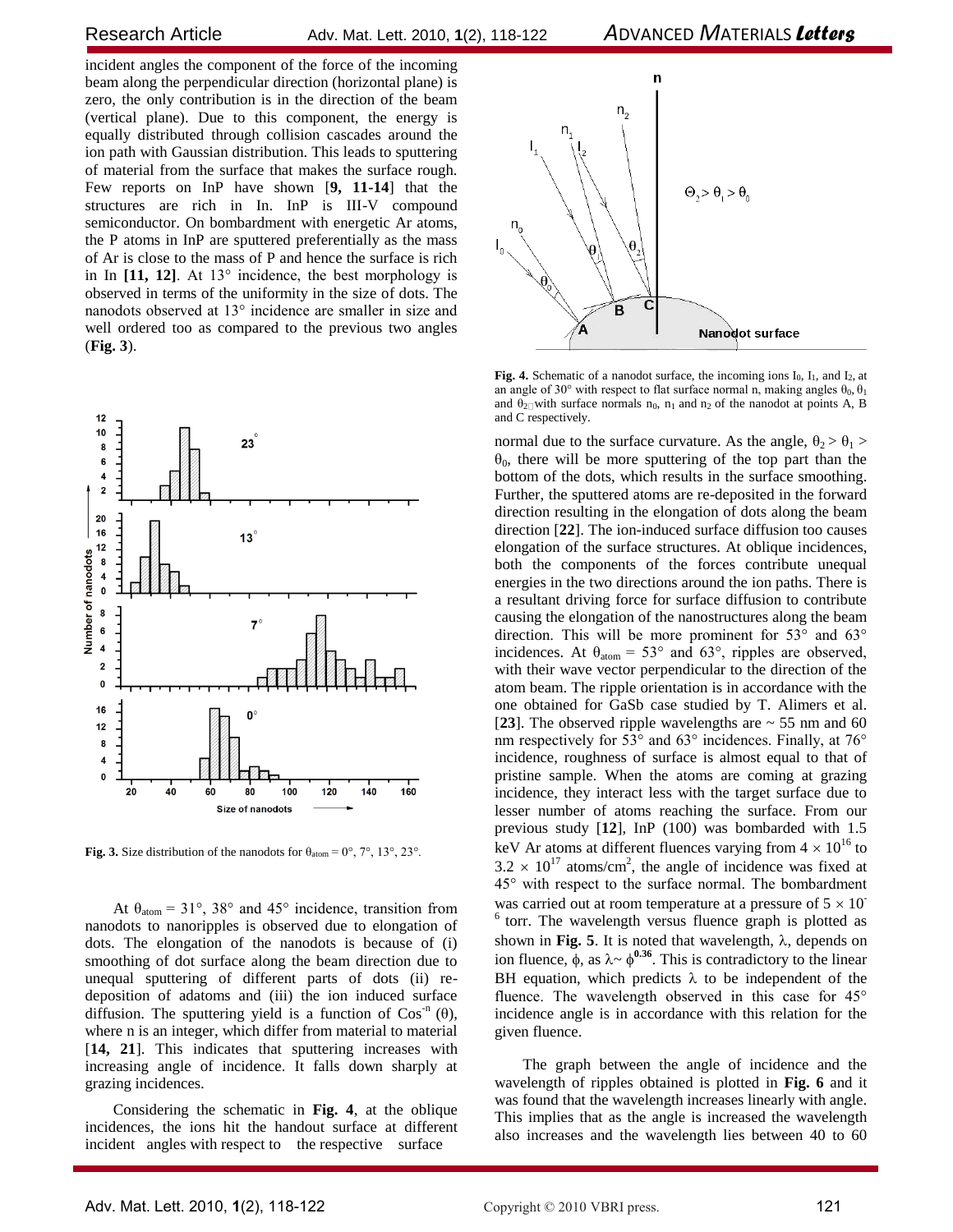incident angles the component of the force of the incoming beam along the perpendicular direction (horizontal plane) is zero, the only contribution is in the direction of the beam (vertical plane). Due to this component, the energy is equally distributed through collision cascades around the ion path with Gaussian distribution. This leads to sputtering of material from the surface that makes the surface rough. Few reports on InP have shown [**9, 11-14**] that the structures are rich in In. InP is III-V compound semiconductor. On bombardment with energetic Ar atoms, the P atoms in InP are sputtered preferentially as the mass of Ar is close to the mass of P and hence the surface is rich in In **[11, 12]**. At 13° incidence, the best morphology is observed in terms of the uniformity in the size of dots. The nanodots observed at 13° incidence are smaller in size and well ordered too as compared to the previous two angles (**Fig. 3**).



**Fig. 3.** Size distribution of the nanodots for  $\theta_{\text{atom}} = 0^{\circ}, 7^{\circ}, 13^{\circ}, 23^{\circ}$ .

At  $\theta_{\text{atom}} = 31^{\circ}$ , 38° and 45° incidence, transition from nanodots to nanoripples is observed due to elongation of dots. The elongation of the nanodots is because of (i) smoothing of dot surface along the beam direction due to unequal sputtering of different parts of dots (ii) redeposition of adatoms and (iii) the ion induced surface diffusion. The sputtering yield is a function of  $\cos^{-n}(\theta)$ , where n is an integer, which differ from material to material [**14, 21**]. This indicates that sputtering increases with increasing angle of incidence. It falls down sharply at grazing incidences.

Considering the schematic in **Fig. 4**, at the oblique incidences, the ions hit the handout surface at different incident angles with respect to the respective surface



**Fig. 4.** Schematic of a nanodot surface, the incoming ions  $I_0$ ,  $I_1$ , and  $I_2$ , at an angle of 30° with respect to flat surface normal n, making angles  $\theta_0$ ,  $\theta_1$ and  $\theta_{2\Box}$  with surface normals n<sub>0</sub>, n<sub>1</sub> and n<sub>2</sub> of the nanodot at points A, B and C respectively.

normal due to the surface curvature. As the angle,  $\theta_2 > \theta_1 >$  $\theta_0$ , there will be more sputtering of the top part than the bottom of the dots, which results in the surface smoothing. Further, the sputtered atoms are re-deposited in the forward direction resulting in the elongation of dots along the beam direction [**22**]. The ion-induced surface diffusion too causes elongation of the surface structures. At oblique incidences, both the components of the forces contribute unequal energies in the two directions around the ion paths. There is a resultant driving force for surface diffusion to contribute causing the elongation of the nanostructures along the beam direction. This will be more prominent for 53° and 63° incidences. At  $\theta_{\text{atom}} = 53^{\circ}$  and 63°, ripples are observed, with their wave vector perpendicular to the direction of the atom beam. The ripple orientation is in accordance with the one obtained for GaSb case studied by T. Alimers et al. [23]. The observed ripple wavelengths are  $\sim$  55 nm and 60 nm respectively for 53° and 63° incidences. Finally, at 76° incidence, roughness of surface is almost equal to that of pristine sample. When the atoms are coming at grazing incidence, they interact less with the target surface due to lesser number of atoms reaching the surface. From our previous study [**12**], InP (100) was bombarded with 1.5 keV Ar atoms at different fluences varying from  $4 \times 10^{16}$  to  $3.2 \times 10^{17}$  atoms/cm<sup>2</sup>, the angle of incidence was fixed at 45° with respect to the surface normal. The bombardment was carried out at room temperature at a pressure of  $5 \times 10^{-1}$ <sup>6</sup> torr. The wavelength versus fluence graph is plotted as shown in **Fig. 5**. It is noted that wavelength,  $\lambda$ , depends on ion fluence,  $\phi$ , as  $\lambda \sim \phi^{0.36}$ . This is contradictory to the linear BH equation, which predicts  $\lambda$  to be independent of the fluence. The wavelength observed in this case for 45° incidence angle is in accordance with this relation for the given fluence.

The graph between the angle of incidence and the wavelength of ripples obtained is plotted in **Fig. 6** and it was found that the wavelength increases linearly with angle. This implies that as the angle is increased the wavelength also increases and the wavelength lies between 40 to 60